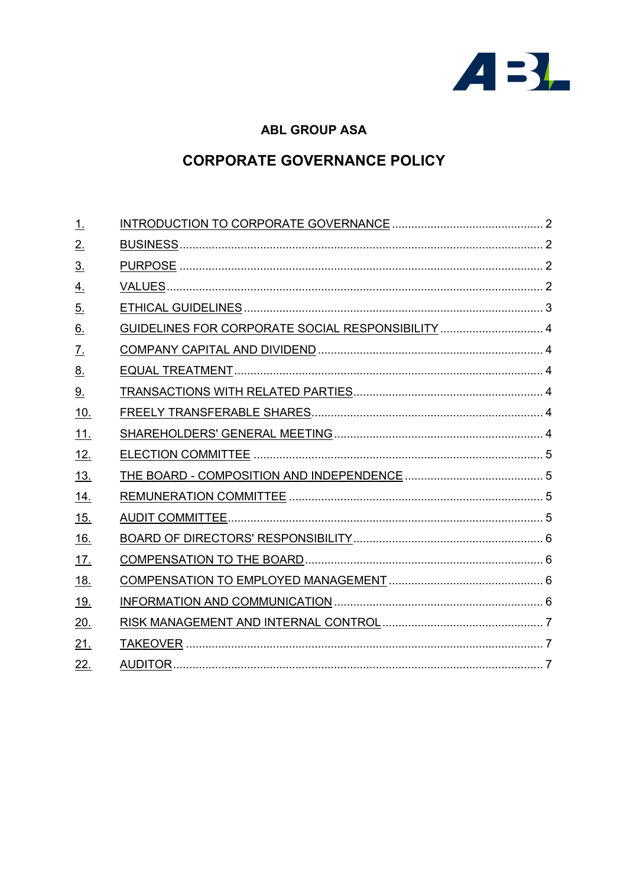

## **ABL GROUP ASA**

# **CORPORATE GOVERNANCE POLICY**

| <u>1.</u>         |                                                   |  |
|-------------------|---------------------------------------------------|--|
| 2.                |                                                   |  |
| $\underline{3}$ . |                                                   |  |
| <u>4.</u>         |                                                   |  |
| <u>5.</u>         |                                                   |  |
| 6.                | GUIDELINES FOR CORPORATE SOCIAL RESPONSIBILITY  4 |  |
| <u>7.</u>         |                                                   |  |
| <u>8.</u>         |                                                   |  |
| <u>9.</u>         |                                                   |  |
| 10.               |                                                   |  |
| <u>11.</u>        |                                                   |  |
| 12.               |                                                   |  |
| 13.               |                                                   |  |
| <u>14.</u>        |                                                   |  |
| <u>15.</u>        |                                                   |  |
| 16.               |                                                   |  |
| 17.               |                                                   |  |
| <u>18.</u>        |                                                   |  |
| 19.               |                                                   |  |
| 20.               |                                                   |  |
| 21.               |                                                   |  |
| 22.               |                                                   |  |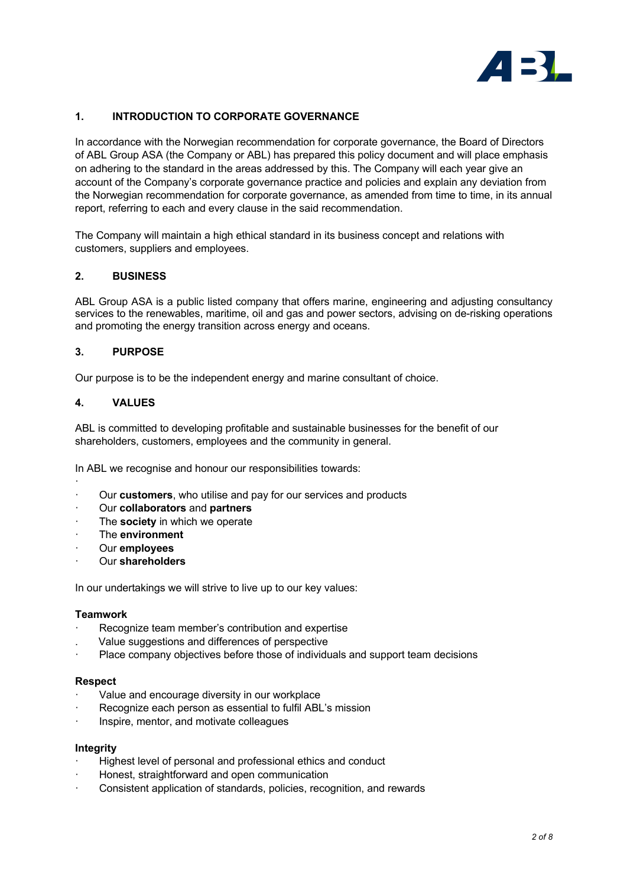

## **1. INTRODUCTION TO CORPORATE GOVERNANCE**

In accordance with the Norwegian recommendation for corporate governance, the Board of Directors of ABL Group ASA (the Company or ABL) has prepared this policy document and will place emphasis on adhering to the standard in the areas addressed by this. The Company will each year give an account of the Company's corporate governance practice and policies and explain any deviation from the Norwegian recommendation for corporate governance, as amended from time to time, in its annual report, referring to each and every clause in the said recommendation.

The Company will maintain a high ethical standard in its business concept and relations with customers, suppliers and employees.

#### **2. BUSINESS**

ABL Group ASA is a public listed company that offers marine, engineering and adjusting consultancy services to the renewables, maritime, oil and gas and power sectors, advising on de-risking operations and promoting the energy transition across energy and oceans.

#### **3. PURPOSE**

Our purpose is to be the independent energy and marine consultant of choice.

#### **4. VALUES**

ABL is committed to developing profitable and sustainable businesses for the benefit of our shareholders, customers, employees and the community in general.

In ABL we recognise and honour our responsibilities towards:

- · Our **customers**, who utilise and pay for our services and products
- · Our **collaborators** and **partners**
- The **society** in which we operate
- · The **environment**
- · Our **employees**
- · Our **shareholders**

In our undertakings we will strive to live up to our key values:

#### **Teamwork**

·

- Recognize team member's contribution and expertise
- Value suggestions and differences of perspective
- Place company objectives before those of individuals and support team decisions

#### **Respect**

- Value and encourage diversity in our workplace
- Recognize each person as essential to fulfil ABL's mission
- Inspire, mentor, and motivate colleagues

#### **Integrity**

- Highest level of personal and professional ethics and conduct
- Honest, straightforward and open communication
- · Consistent application of standards, policies, recognition, and rewards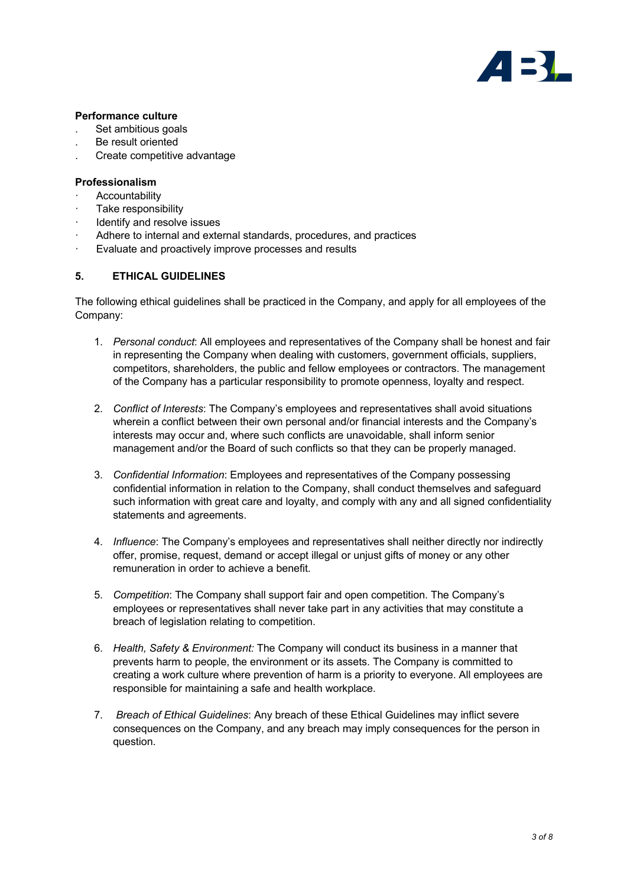

#### **Performance culture**

- . Set ambitious goals
- . Be result oriented
- . Create competitive advantage

## **Professionalism**

- **Accountability**
- Take responsibility
- · Identify and resolve issues
- Adhere to internal and external standards, procedures, and practices
- · Evaluate and proactively improve processes and results

## **5. ETHICAL GUIDELINES**

The following ethical guidelines shall be practiced in the Company, and apply for all employees of the Company:

- 1. *Personal conduct*: All employees and representatives of the Company shall be honest and fair in representing the Company when dealing with customers, government officials, suppliers, competitors, shareholders, the public and fellow employees or contractors. The management of the Company has a particular responsibility to promote openness, loyalty and respect.
- 2. *Conflict of Interests*: The Company's employees and representatives shall avoid situations wherein a conflict between their own personal and/or financial interests and the Company's interests may occur and, where such conflicts are unavoidable, shall inform senior management and/or the Board of such conflicts so that they can be properly managed.
- 3. *Confidential Information*: Employees and representatives of the Company possessing confidential information in relation to the Company, shall conduct themselves and safeguard such information with great care and loyalty, and comply with any and all signed confidentiality statements and agreements.
- 4. *Influence*: The Company's employees and representatives shall neither directly nor indirectly offer, promise, request, demand or accept illegal or unjust gifts of money or any other remuneration in order to achieve a benefit.
- 5. *Competition*: The Company shall support fair and open competition. The Company's employees or representatives shall never take part in any activities that may constitute a breach of legislation relating to competition.
- 6. *Health, Safety & Environment:* The Company will conduct its business in a manner that prevents harm to people, the environment or its assets. The Company is committed to creating a work culture where prevention of harm is a priority to everyone. All employees are responsible for maintaining a safe and health workplace.
- 7. *Breach of Ethical Guidelines*: Any breach of these Ethical Guidelines may inflict severe consequences on the Company, and any breach may imply consequences for the person in question.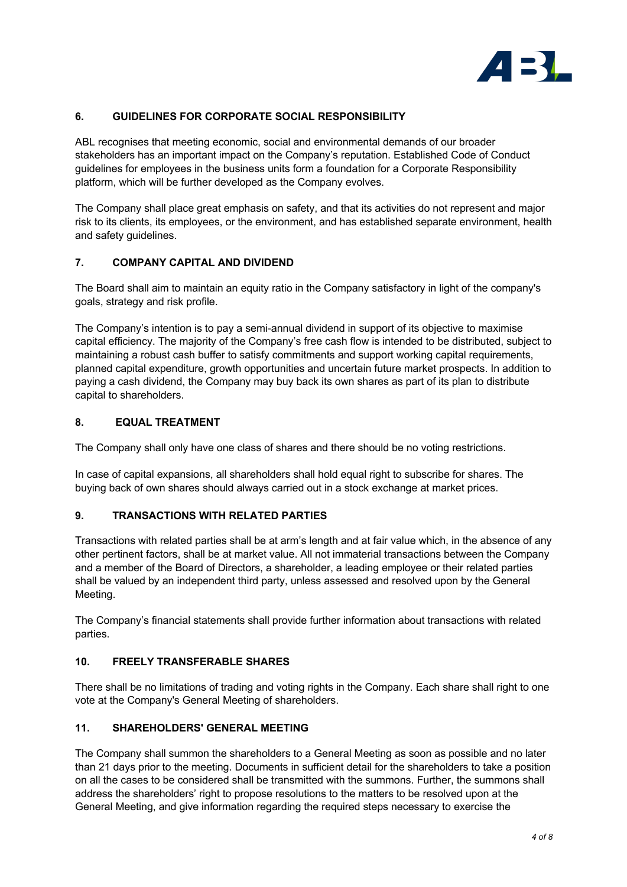

## **6. GUIDELINES FOR CORPORATE SOCIAL RESPONSIBILITY**

ABL recognises that meeting economic, social and environmental demands of our broader stakeholders has an important impact on the Company's reputation. Established Code of Conduct guidelines for employees in the business units form a foundation for a Corporate Responsibility platform, which will be further developed as the Company evolves.

The Company shall place great emphasis on safety, and that its activities do not represent and major risk to its clients, its employees, or the environment, and has established separate environment, health and safety guidelines.

## **7. COMPANY CAPITAL AND DIVIDEND**

The Board shall aim to maintain an equity ratio in the Company satisfactory in light of the company's goals, strategy and risk profile.

The Company's intention is to pay a semi-annual dividend in support of its objective to maximise capital efficiency. The majority of the Company's free cash flow is intended to be distributed, subject to maintaining a robust cash buffer to satisfy commitments and support working capital requirements, planned capital expenditure, growth opportunities and uncertain future market prospects. In addition to paying a cash dividend, the Company may buy back its own shares as part of its plan to distribute capital to shareholders.

## **8. EQUAL TREATMENT**

The Company shall only have one class of shares and there should be no voting restrictions.

In case of capital expansions, all shareholders shall hold equal right to subscribe for shares. The buying back of own shares should always carried out in a stock exchange at market prices.

## **9. TRANSACTIONS WITH RELATED PARTIES**

Transactions with related parties shall be at arm's length and at fair value which, in the absence of any other pertinent factors, shall be at market value. All not immaterial transactions between the Company and a member of the Board of Directors, a shareholder, a leading employee or their related parties shall be valued by an independent third party, unless assessed and resolved upon by the General Meeting.

The Company's financial statements shall provide further information about transactions with related parties.

## **10. FREELY TRANSFERABLE SHARES**

There shall be no limitations of trading and voting rights in the Company. Each share shall right to one vote at the Company's General Meeting of shareholders.

## **11. SHAREHOLDERS' GENERAL MEETING**

The Company shall summon the shareholders to a General Meeting as soon as possible and no later than 21 days prior to the meeting. Documents in sufficient detail for the shareholders to take a position on all the cases to be considered shall be transmitted with the summons. Further, the summons shall address the shareholders' right to propose resolutions to the matters to be resolved upon at the General Meeting, and give information regarding the required steps necessary to exercise the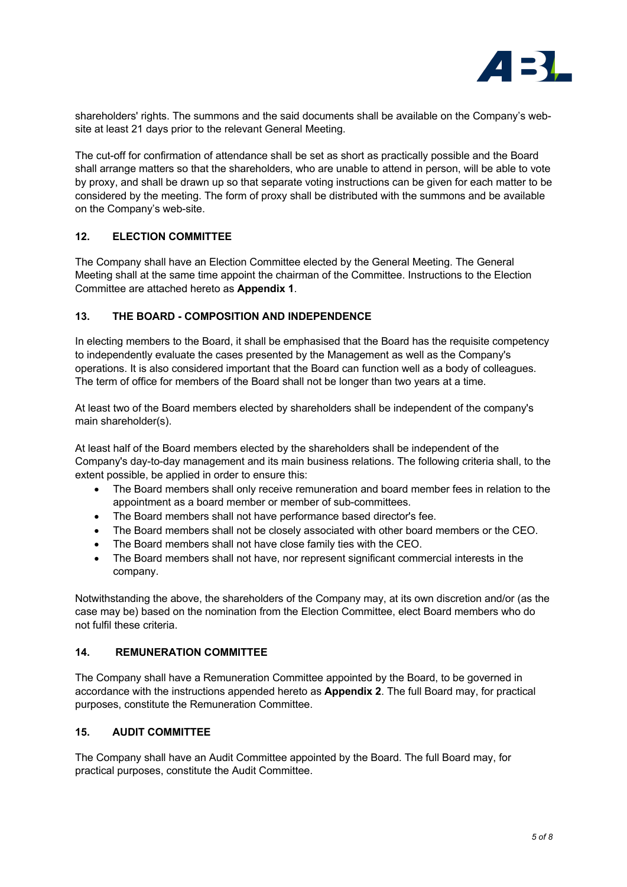

shareholders' rights. The summons and the said documents shall be available on the Company's website at least 21 days prior to the relevant General Meeting.

The cut-off for confirmation of attendance shall be set as short as practically possible and the Board shall arrange matters so that the shareholders, who are unable to attend in person, will be able to vote by proxy, and shall be drawn up so that separate voting instructions can be given for each matter to be considered by the meeting. The form of proxy shall be distributed with the summons and be available on the Company's web-site.

## **12. ELECTION COMMITTEE**

The Company shall have an Election Committee elected by the General Meeting. The General Meeting shall at the same time appoint the chairman of the Committee. Instructions to the Election Committee are attached hereto as **Appendix 1**.

## **13. THE BOARD - COMPOSITION AND INDEPENDENCE**

In electing members to the Board, it shall be emphasised that the Board has the requisite competency to independently evaluate the cases presented by the Management as well as the Company's operations. It is also considered important that the Board can function well as a body of colleagues. The term of office for members of the Board shall not be longer than two years at a time.

At least two of the Board members elected by shareholders shall be independent of the company's main shareholder(s).

At least half of the Board members elected by the shareholders shall be independent of the Company's day-to-day management and its main business relations. The following criteria shall, to the extent possible, be applied in order to ensure this:

- The Board members shall only receive remuneration and board member fees in relation to the appointment as a board member or member of sub-committees.
- The Board members shall not have performance based director's fee.
- The Board members shall not be closely associated with other board members or the CEO.
- The Board members shall not have close family ties with the CEO.
- The Board members shall not have, nor represent significant commercial interests in the company.

Notwithstanding the above, the shareholders of the Company may, at its own discretion and/or (as the case may be) based on the nomination from the Election Committee, elect Board members who do not fulfil these criteria.

## **14. REMUNERATION COMMITTEE**

The Company shall have a Remuneration Committee appointed by the Board, to be governed in accordance with the instructions appended hereto as **Appendix 2**. The full Board may, for practical purposes, constitute the Remuneration Committee.

## **15. AUDIT COMMITTEE**

The Company shall have an Audit Committee appointed by the Board. The full Board may, for practical purposes, constitute the Audit Committee.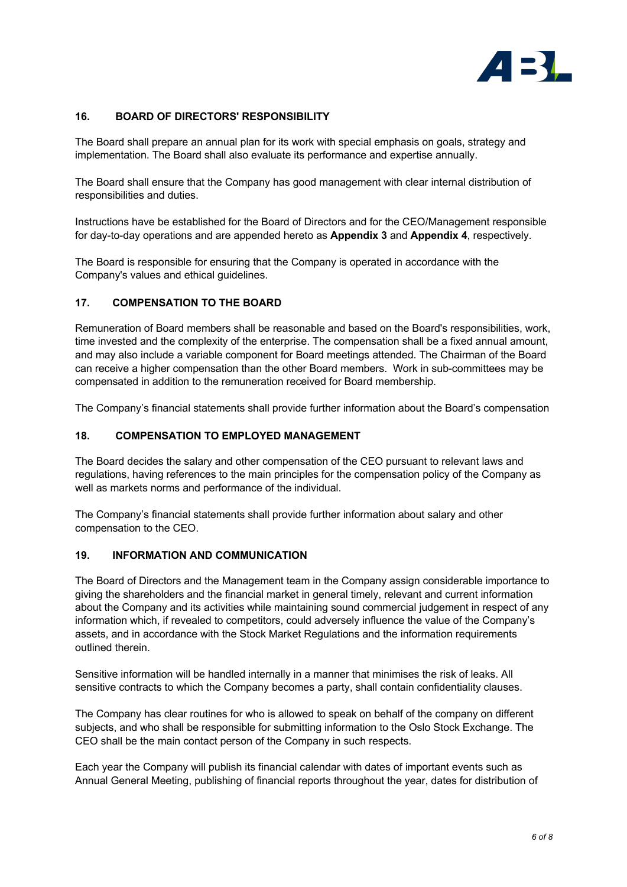

## **16. BOARD OF DIRECTORS' RESPONSIBILITY**

The Board shall prepare an annual plan for its work with special emphasis on goals, strategy and implementation. The Board shall also evaluate its performance and expertise annually.

The Board shall ensure that the Company has good management with clear internal distribution of responsibilities and duties.

Instructions have be established for the Board of Directors and for the CEO/Management responsible for day-to-day operations and are appended hereto as **Appendix 3** and **Appendix 4**, respectively.

The Board is responsible for ensuring that the Company is operated in accordance with the Company's values and ethical guidelines.

## **17. COMPENSATION TO THE BOARD**

Remuneration of Board members shall be reasonable and based on the Board's responsibilities, work, time invested and the complexity of the enterprise. The compensation shall be a fixed annual amount, and may also include a variable component for Board meetings attended. The Chairman of the Board can receive a higher compensation than the other Board members. Work in sub-committees may be compensated in addition to the remuneration received for Board membership.

The Company's financial statements shall provide further information about the Board's compensation

## **18. COMPENSATION TO EMPLOYED MANAGEMENT**

The Board decides the salary and other compensation of the CEO pursuant to relevant laws and regulations, having references to the main principles for the compensation policy of the Company as well as markets norms and performance of the individual.

The Company's financial statements shall provide further information about salary and other compensation to the CEO.

## **19. INFORMATION AND COMMUNICATION**

The Board of Directors and the Management team in the Company assign considerable importance to giving the shareholders and the financial market in general timely, relevant and current information about the Company and its activities while maintaining sound commercial judgement in respect of any information which, if revealed to competitors, could adversely influence the value of the Company's assets, and in accordance with the Stock Market Regulations and the information requirements outlined therein.

Sensitive information will be handled internally in a manner that minimises the risk of leaks. All sensitive contracts to which the Company becomes a party, shall contain confidentiality clauses.

The Company has clear routines for who is allowed to speak on behalf of the company on different subjects, and who shall be responsible for submitting information to the Oslo Stock Exchange. The CEO shall be the main contact person of the Company in such respects.

Each year the Company will publish its financial calendar with dates of important events such as Annual General Meeting, publishing of financial reports throughout the year, dates for distribution of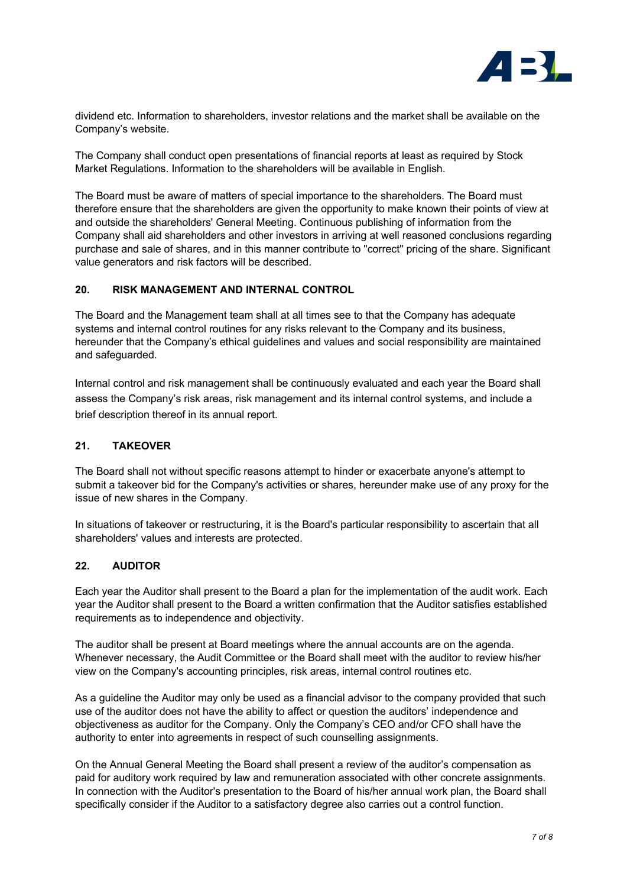

dividend etc. Information to shareholders, investor relations and the market shall be available on the Company's website.

The Company shall conduct open presentations of financial reports at least as required by Stock Market Regulations. Information to the shareholders will be available in English.

The Board must be aware of matters of special importance to the shareholders. The Board must therefore ensure that the shareholders are given the opportunity to make known their points of view at and outside the shareholders' General Meeting. Continuous publishing of information from the Company shall aid shareholders and other investors in arriving at well reasoned conclusions regarding purchase and sale of shares, and in this manner contribute to "correct" pricing of the share. Significant value generators and risk factors will be described.

## **20. RISK MANAGEMENT AND INTERNAL CONTROL**

The Board and the Management team shall at all times see to that the Company has adequate systems and internal control routines for any risks relevant to the Company and its business, hereunder that the Company's ethical guidelines and values and social responsibility are maintained and safeguarded.

Internal control and risk management shall be continuously evaluated and each year the Board shall assess the Company's risk areas, risk management and its internal control systems, and include a brief description thereof in its annual report.

## **21. TAKEOVER**

The Board shall not without specific reasons attempt to hinder or exacerbate anyone's attempt to submit a takeover bid for the Company's activities or shares, hereunder make use of any proxy for the issue of new shares in the Company.

In situations of takeover or restructuring, it is the Board's particular responsibility to ascertain that all shareholders' values and interests are protected.

## **22. AUDITOR**

Each year the Auditor shall present to the Board a plan for the implementation of the audit work. Each year the Auditor shall present to the Board a written confirmation that the Auditor satisfies established requirements as to independence and objectivity.

The auditor shall be present at Board meetings where the annual accounts are on the agenda. Whenever necessary, the Audit Committee or the Board shall meet with the auditor to review his/her view on the Company's accounting principles, risk areas, internal control routines etc.

As a guideline the Auditor may only be used as a financial advisor to the company provided that such use of the auditor does not have the ability to affect or question the auditors' independence and objectiveness as auditor for the Company. Only the Company's CEO and/or CFO shall have the authority to enter into agreements in respect of such counselling assignments.

On the Annual General Meeting the Board shall present a review of the auditor's compensation as paid for auditory work required by law and remuneration associated with other concrete assignments. In connection with the Auditor's presentation to the Board of his/her annual work plan, the Board shall specifically consider if the Auditor to a satisfactory degree also carries out a control function.